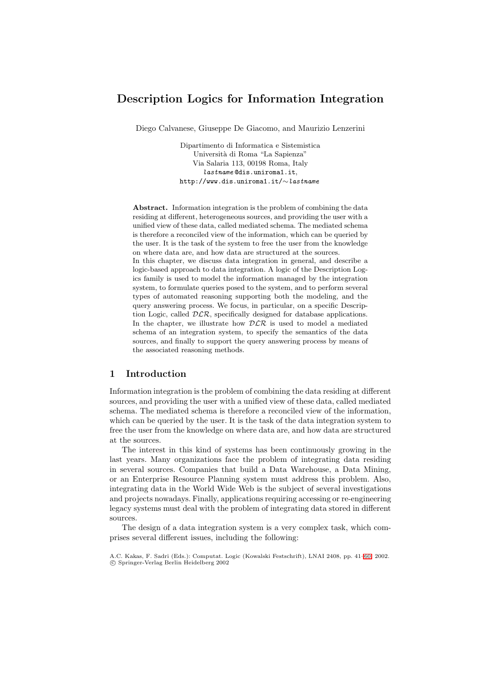# **Description Logics for Information Integration**

Diego Calvanese, Giuseppe De Giacomo, and Maurizio Lenzerini

Dipartimento di Informatica e Sistemistica Università di Roma "La Sapienza" Via Salaria 113, 00198 Roma, Italy *lastname* @dis.uniroma1.it, http://www.dis.uniroma1.it/∼*lastname*

**Abstract.** Information integration is the problem of combining the data residing at different, heterogeneous sources, and providing the user with a unified view of these data, called mediated schema. The mediated schema is therefore a reconciled view of the information, which can be queried by the user. It is the task of the system to free the user from the knowledge on where data are, and how data are structured at the sources.

In this chapter, we discuss data integration in general, and describe a logic-based approach to data integration. A logic of the Description Logics family is used to model the information managed by the integration system, to formulate queries posed to the system, and to perform several types of automated reasoning supporting both the modeling, and the query answering process. We focus, in particular, on a specific Description Logic, called  $D\mathcal{LR}$ , specifically designed for database applications. In the chapter, we illustrate how  $D\mathcal{LR}$  is used to model a mediated schema of an integration system, to specify the semantics of the data sources, and finally to support the query answering process by means of the associated reasoning methods.

# **1 Introduction**

Information integration is the problem of combining the data residing at different sources, and providing the user with a unified view of these data, called mediated schema. The mediated schema is therefore a reconciled view of the information, which can be queried by the user. It is the task of the data integration system to free the user from the knowledge on where data are, and how data are structured at the sources.

The interest in this kind of systems has been continuously growing in the last years. Many organizations face the problem of integrating data residing in several sources. Companies that build a Data Warehouse, a Data Mining, or an Enterprise Resource Planning system must address this problem. Also, integrating data in the World Wide Web is the subject of several investigations and projects nowadays. Finally, applications requiring accessing or re-engineering legacy systems must deal with the problem of integrating data stored in different sources.

The design of a data integration system is a very complex task, which comprises several different issues, including the following: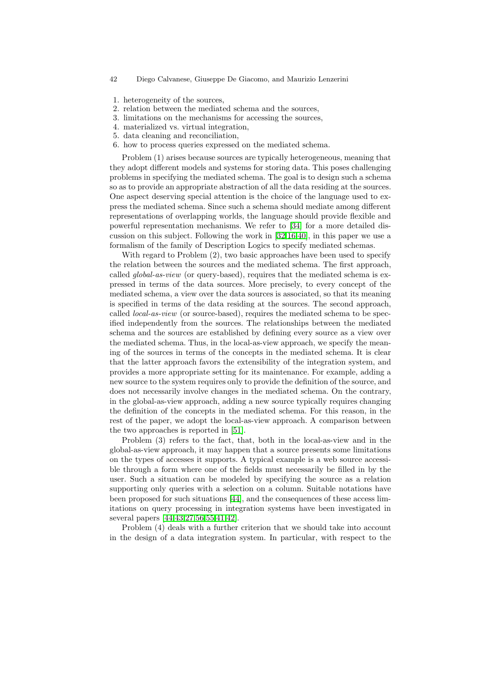- 1. heterogeneity of the sources,
- 2. relation between the mediated schema and the sources,
- 3. limitations on the mechanisms for accessing the sources,
- 4. materialized vs. virtual integration,
- 5. data cleaning and reconciliation,
- 6. how to process queries expressed on the mediated schema.

Problem (1) arises because sources are typically heterogeneous, meaning that they adopt different models and systems for storing data. This poses challenging problems in specifying the mediated schema. The goal is to design such a schema so as to provide an appropriate abstraction of all the data residing at the sources. One aspect deserving special attention is the choice of the language used to express the mediated schema. Since such a schema should mediate among different representations of overlapping worlds, the language should provide flexible and powerful representation mechanisms. We refer to [\[34\]](#page-18-0) for a more detailed discussion on this subject. Following the work in [\[32](#page-18-1)[,16](#page-17-0)[,40\]](#page-18-2), in this paper we use a formalism of the family of Description Logics to specify mediated schemas.

With regard to Problem (2), two basic approaches have been used to specify the relation between the sources and the mediated schema. The first approach, called *global-as-view* (or query-based), requires that the mediated schema is expressed in terms of the data sources. More precisely, to every concept of the mediated schema, a view over the data sources is associated, so that its meaning is specified in terms of the data residing at the sources. The second approach, called *local-as-view* (or source-based), requires the mediated schema to be specified independently from the sources. The relationships between the mediated schema and the sources are established by defining every source as a view over the mediated schema. Thus, in the local-as-view approach, we specify the meaning of the sources in terms of the concepts in the mediated schema. It is clear that the latter approach favors the extensibility of the integration system, and provides a more appropriate setting for its maintenance. For example, adding a new source to the system requires only to provide the definition of the source, and does not necessarily involve changes in the mediated schema. On the contrary, in the global-as-view approach, adding a new source typically requires changing the definition of the concepts in the mediated schema. For this reason, in the rest of the paper, we adopt the local-as-view approach. A comparison between the two approaches is reported in [\[51\]](#page-19-1).

Problem (3) refers to the fact, that, both in the local-as-view and in the global-as-view approach, it may happen that a source presents some limitations on the types of accesses it supports. A typical example is a web source accessible through a form where one of the fields must necessarily be filled in by the user. Such a situation can be modeled by specifying the source as a relation supporting only queries with a selection on a column. Suitable notations have been proposed for such situations [\[44\]](#page-18-3), and the consequences of these access limitations on query processing in integration systems have been investigated in several papers [\[44](#page-18-3)[,43,](#page-18-4)[27](#page-17-1)[,56](#page-19-2)[,55](#page-19-3)[,41,](#page-18-5)[42\]](#page-18-6).

Problem (4) deals with a further criterion that we should take into account in the design of a data integration system. In particular, with respect to the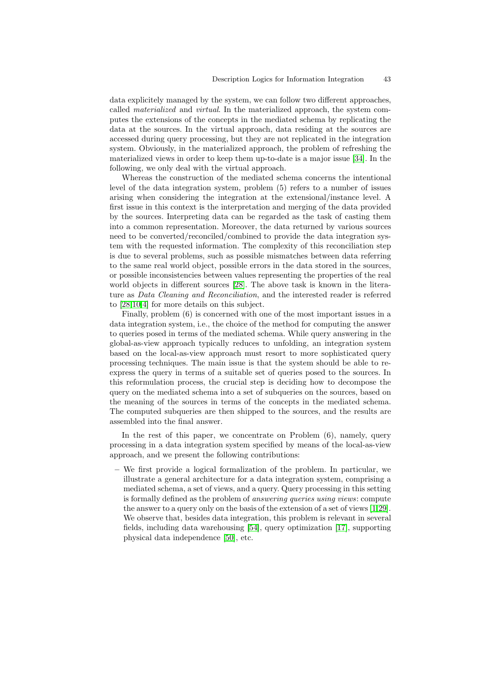data explicitely managed by the system, we can follow two different approaches, called *materialized* and *virtual*. In the materialized approach, the system computes the extensions of the concepts in the mediated schema by replicating the data at the sources. In the virtual approach, data residing at the sources are accessed during query processing, but they are not replicated in the integration system. Obviously, in the materialized approach, the problem of refreshing the materialized views in order to keep them up-to-date is a major issue [\[34\]](#page-18-0). In the following, we only deal with the virtual approach.

Whereas the construction of the mediated schema concerns the intentional level of the data integration system, problem (5) refers to a number of issues arising when considering the integration at the extensional/instance level. A first issue in this context is the interpretation and merging of the data provided by the sources. Interpreting data can be regarded as the task of casting them into a common representation. Moreover, the data returned by various sources need to be converted/reconciled/combined to provide the data integration system with the requested information. The complexity of this reconciliation step is due to several problems, such as possible mismatches between data referring to the same real world object, possible errors in the data stored in the sources, or possible inconsistencies between values representing the properties of the real world objects in different sources [\[28\]](#page-17-2). The above task is known in the literature as *Data Cleaning and Reconciliation*, and the interested reader is referred to [\[28,](#page-17-2)[10](#page-16-0)[,4\]](#page-16-1) for more details on this subject.

Finally, problem (6) is concerned with one of the most important issues in a data integration system, i.e., the choice of the method for computing the answer to queries posed in terms of the mediated schema. While query answering in the global-as-view approach typically reduces to unfolding, an integration system based on the local-as-view approach must resort to more sophisticated query processing techniques. The main issue is that the system should be able to reexpress the query in terms of a suitable set of queries posed to the sources. In this reformulation process, the crucial step is deciding how to decompose the query on the mediated schema into a set of subqueries on the sources, based on the meaning of the sources in terms of the concepts in the mediated schema. The computed subqueries are then shipped to the sources, and the results are assembled into the final answer.

In the rest of this paper, we concentrate on Problem (6), namely, query processing in a data integration system specified by means of the local-as-view approach, and we present the following contributions:

**–** We first provide a logical formalization of the problem. In particular, we illustrate a general architecture for a data integration system, comprising a mediated schema, a set of views, and a query. Query processing in this setting is formally defined as the problem of *answering queries using views*: compute the answer to a query only on the basis of the extension of a set of views [\[1](#page-16-2)[,29\]](#page-17-3). We observe that, besides data integration, this problem is relevant in several fields, including data warehousing [\[54\]](#page-19-4), query optimization [\[17\]](#page-17-4), supporting physical data independence [\[50\]](#page-19-5), etc.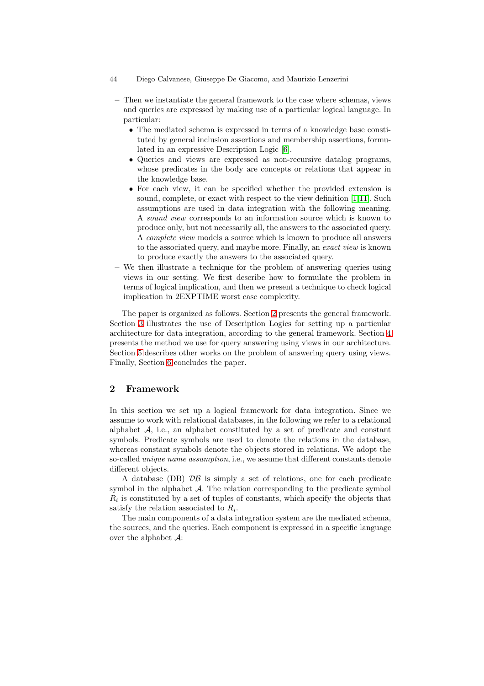- **–** Then we instantiate the general framework to the case where schemas, views and queries are expressed by making use of a particular logical language. In particular:
	- The mediated schema is expressed in terms of a knowledge base constituted by general inclusion assertions and membership assertions, formulated in an expressive Description Logic [\[6\]](#page-16-3).
	- Queries and views are expressed as non-recursive datalog programs, whose predicates in the body are concepts or relations that appear in the knowledge base.
	- For each view, it can be specified whether the provided extension is sound, complete, or exact with respect to the view definition [\[1,](#page-16-2)[11\]](#page-16-4). Such assumptions are used in data integration with the following meaning. A *sound view* corresponds to an information source which is known to produce only, but not necessarily all, the answers to the associated query. A *complete view* models a source which is known to produce all answers to the associated query, and maybe more. Finally, an *exact view* is known to produce exactly the answers to the associated query.
- **–** We then illustrate a technique for the problem of answering queries using views in our setting. We first describe how to formulate the problem in terms of logical implication, and then we present a technique to check logical implication in 2EXPTIME worst case complexity.

The paper is organized as follows. Section [2](#page-3-0) presents the general framework. Section [3](#page-6-0) illustrates the use of Description Logics for setting up a particular architecture for data integration, according to the general framework. Section [4](#page-9-0) presents the method we use for query answering using views in our architecture. Section [5](#page-14-0) describes other works on the problem of answering query using views. Finally, Section [6](#page-15-0) concludes the paper.

# <span id="page-3-0"></span>**2 Framework**

In this section we set up a logical framework for data integration. Since we assume to work with relational databases, in the following we refer to a relational alphabet  $A$ , i.e., an alphabet constituted by a set of predicate and constant symbols. Predicate symbols are used to denote the relations in the database, whereas constant symbols denote the objects stored in relations. We adopt the so-called *unique name assumption*, i.e., we assume that different constants denote different objects.

A database (DB)  $\mathcal{DB}$  is simply a set of relations, one for each predicate symbol in the alphabet A. The relation corresponding to the predicate symbol  $R_i$  is constituted by a set of tuples of constants, which specify the objects that satisfy the relation associated to  $R_i$ .

The main components of a data integration system are the mediated schema, the sources, and the queries. Each component is expressed in a specific language over the alphabet  $\mathcal{A}$ :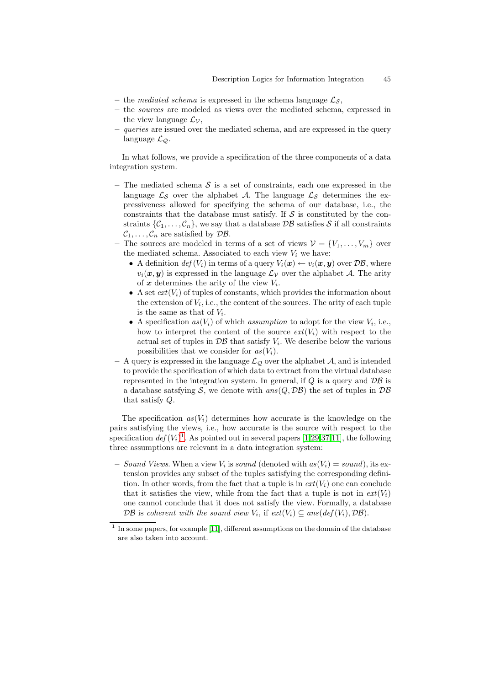- the *mediated schema* is expressed in the schema language  $\mathcal{L}_{\mathcal{S}}$ ,
- **–** the *sources* are modeled as views over the mediated schema, expressed in the view language  $\mathcal{L}_{\mathcal{V}}$ ,
- **–** *queries* are issued over the mediated schema, and are expressed in the query language  $\mathcal{L}_{\mathcal{Q}}$ .

In what follows, we provide a specification of the three components of a data integration system.

- $-$  The mediated schema  $\mathcal S$  is a set of constraints, each one expressed in the language  $\mathcal{L}_{\mathcal{S}}$  over the alphabet A. The language  $\mathcal{L}_{\mathcal{S}}$  determines the expressiveness allowed for specifying the schema of our database, i.e., the constraints that the database must satisfy. If  $\mathcal S$  is constituted by the constraints  $\{\mathcal{C}_1,\ldots,\mathcal{C}_n\}$ , we say that a database  $\mathcal{DB}$  satisfies S if all constraints  $\mathcal{C}_1,\ldots,\mathcal{C}_n$  are satisfied by  $\mathcal{DB}.$
- The sources are modeled in terms of a set of views  $V = \{V_1, \ldots, V_m\}$  over the mediated schema. Associated to each view  $V_i$  we have:
	- A definition  $def(V_i)$  in terms of a query  $V_i(\boldsymbol{x}) \leftarrow v_i(\boldsymbol{x}, \boldsymbol{y})$  over  $\mathcal{DB}$ , where  $v_i(\boldsymbol{x}, \boldsymbol{y})$  is expressed in the language  $\mathcal{L}_\mathcal{V}$  over the alphabet A. The arity of  $x$  determines the arity of the view  $V_i$ .
	- A set  $ext(V_i)$  of tuples of constants, which provides the information about the extension of  $V_i$ , i.e., the content of the sources. The arity of each tuple is the same as that of  $V_i$ .
	- A specification  $as(V_i)$  of which *assumption* to adopt for the view  $V_i$ , i.e., how to interpret the content of the source  $ext(V_i)$  with respect to the actual set of tuples in  $\mathcal{DB}$  that satisfy  $V_i$ . We describe below the various possibilities that we consider for  $as(V_i)$ .
- $-$  A query is expressed in the language  $\mathcal{L}_{\mathcal{Q}}$  over the alphabet  $\mathcal{A}$ , and is intended to provide the specification of which data to extract from the virtual database represented in the integration system. In general, if  $Q$  is a query and  $\overline{DB}$  is a database sats fying S, we denote with  $ans(Q, DB)$  the set of tuples in  $DB$ that satisfy Q.

The specification  $as(V_i)$  determines how accurate is the knowledge on the pairs satisfying the views, i.e., how accurate is the source with respect to the specification  $def(V<sub>i</sub>)<sup>1</sup>$  $def(V<sub>i</sub>)<sup>1</sup>$  $def(V<sub>i</sub>)<sup>1</sup>$ . As pointed out in several papers [\[1](#page-16-2)[,29](#page-17-3)[,37,](#page-18-7)[11\]](#page-16-4), the following three assumptions are relevant in a data integration system:

 $-$  *Sound Views.* When a view  $V_i$  is *sound* (denoted with  $as(V_i) = sound$ ), its extension provides any subset of the tuples satisfying the corresponding definition. In other words, from the fact that a tuple is in  $ext(V_i)$  one can conclude that it satisfies the view, while from the fact that a tuple is not in  $ext(V_i)$ one cannot conclude that it does not satisfy the view. Formally, a database  $\mathcal{DB}$  is *coherent with the sound view*  $V_i$ , if  $ext(V_i) \subseteq ans(det(V_i), \mathcal{DB})$ .

<span id="page-4-0"></span> $1$  In some papers, for example [\[11\]](#page-16-4), different assumptions on the domain of the database are also taken into account.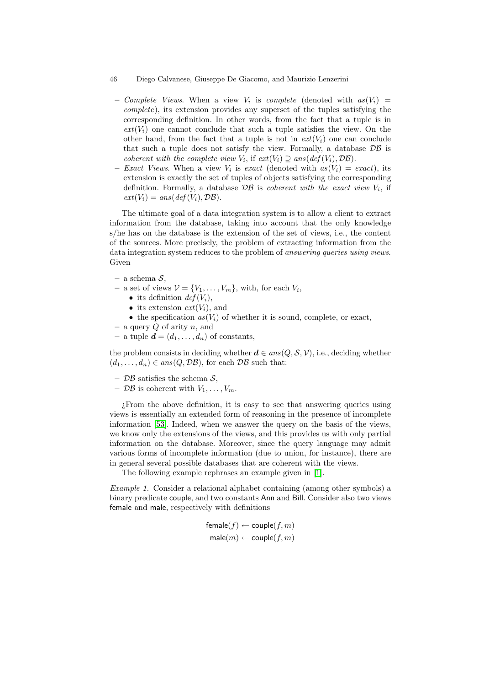- $\sim$  *Complete Views.* When a view  $V_i$  is *complete* (denoted with  $as(V_i)$  = *complete*), its extension provides any superset of the tuples satisfying the corresponding definition. In other words, from the fact that a tuple is in  $ext(V<sub>i</sub>)$  one cannot conclude that such a tuple satisfies the view. On the other hand, from the fact that a tuple is not in  $ext(V_i)$  one can conclude that such a tuple does not satisfy the view. Formally, a database  $\mathcal{DB}$  is *coherent with the complete view*  $V_i$ , if  $ext(V_i) \supseteq ans(det(V_i), DB)$ .
- $P = Exact \; Views.$  When a view  $V_i$  is *exact* (denoted with  $as(V_i) = exact$ ), its extension is exactly the set of tuples of objects satisfying the corresponding definition. Formally, a database  $\mathcal{DB}$  is *coherent with the exact view*  $V_i$ , if  $ext(V_i) = ans(det(V_i), DB).$

The ultimate goal of a data integration system is to allow a client to extract information from the database, taking into account that the only knowledge s/he has on the database is the extension of the set of views, i.e., the content of the sources. More precisely, the problem of extracting information from the data integration system reduces to the problem of *answering queries using views*. Given

- **–** a schema S,
- $-$  a set of views  $\mathcal{V} = \{V_1, \ldots, V_m\}$ , with, for each  $V_i$ ,
	- its definition  $def(V_i)$ ,
	- its extension  $ext(V_i)$ , and
	- the specification  $as(V_i)$  of whether it is sound, complete, or exact,
- **–** a query Q of arity n, and
- $-$  a tuple  $\boldsymbol{d} = (d_1, \ldots, d_n)$  of constants,

the problem consists in deciding whether  $d \in ans(Q, \mathcal{S}, \mathcal{V})$ , i.e., deciding whether  $(d_1,\ldots,d_n) \in ans(Q,\mathcal{DB})$ , for each  $\mathcal{DB}$  such that:

- $-$  DB satisfies the schema  $\mathcal{S}$ ,
- $-\mathcal{DB}$  is coherent with  $V_1,\ldots,V_m$ .

¿From the above definition, it is easy to see that answering queries using views is essentially an extended form of reasoning in the presence of incomplete information [\[53\]](#page-19-6). Indeed, when we answer the query on the basis of the views, we know only the extensions of the views, and this provides us with only partial information on the database. Moreover, since the query language may admit various forms of incomplete information (due to union, for instance), there are in general several possible databases that are coherent with the views.

The following example rephrases an example given in [\[1\]](#page-16-2).

*Example 1.* Consider a relational alphabet containing (among other symbols) a binary predicate couple, and two constants Ann and Bill. Consider also two views female and male, respectively with definitions

> $f$ female $(f) \leftarrow$  couple $(f, m)$  $male(m) \leftarrow couple(f, m)$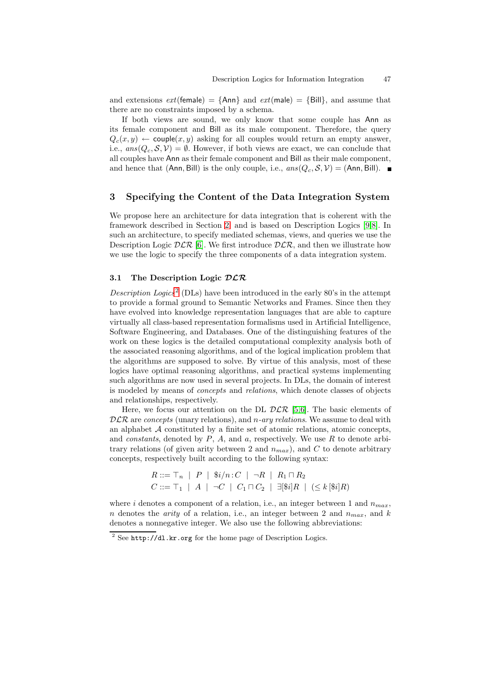and extensions  $ext{f$  (female) = {Ann} and  $ext{ (male )}$  = {Bill}, and assume that there are no constraints imposed by a schema.

If both views are sound, we only know that some couple has Ann as its female component and Bill as its male component. Therefore, the query  $Q_c(x, y) \leftarrow$  couple $(x, y)$  asking for all couples would return an empty answer, i.e.,  $ans(Q_c, \mathcal{S}, \mathcal{V}) = \emptyset$ . However, if both views are exact, we can conclude that all couples have Ann as their female component and Bill as their male component, and hence that (Ann, Bill) is the only couple, i.e.,  $ans(Q_c, S, V) = (Ann, Bill)$ .

## <span id="page-6-0"></span>**3 Specifying the Content of the Data Integration System**

We propose here an architecture for data integration that is coherent with the framework described in Section [2,](#page-3-0) and is based on Description Logics [\[9](#page-16-5)[,8\]](#page-16-6). In such an architecture, to specify mediated schemas, views, and queries we use the Description Logic  $D\mathcal{LR}$  [\[6\]](#page-16-3). We first introduce  $D\mathcal{LR}$ , and then we illustrate how we use the logic to specify the three components of a data integration system.

#### **3.1 The Description Logic** *DLR*

*Description Logics*[2](#page-6-1) (DLs) have been introduced in the early 80's in the attempt to provide a formal ground to Semantic Networks and Frames. Since then they have evolved into knowledge representation languages that are able to capture virtually all class-based representation formalisms used in Artificial Intelligence, Software Engineering, and Databases. One of the distinguishing features of the work on these logics is the detailed computational complexity analysis both of the associated reasoning algorithms, and of the logical implication problem that the algorithms are supposed to solve. By virtue of this analysis, most of these logics have optimal reasoning algorithms, and practical systems implementing such algorithms are now used in several projects. In DLs, the domain of interest is modeled by means of *concepts* and *relations*, which denote classes of objects and relationships, respectively.

Here, we focus our attention on the DL  $DLR$  [\[5](#page-16-7)[,6\]](#page-16-3). The basic elements of DLR are *concepts* (unary relations), and n*-ary relations*. We assume to deal with an alphabet  $A$  constituted by a finite set of atomic relations, atomic concepts, and *constants*, denoted by P, A, and a, respectively. We use R to denote arbitrary relations (of given arity between 2 and  $n_{max}$ ), and C to denote arbitrary concepts, respectively built according to the following syntax:

$$
R ::= \top_n | P | \$i/n : C | \neg R | R_1 \sqcap R_2
$$
  

$$
C ::= \top_1 | A | \neg C | C_1 \sqcap C_2 | \exists [\$i]R | (\leq k [\$i]R)
$$

where i denotes a component of a relation, i.e., an integer between 1 and  $n_{max}$ ,  $n$  denotes the *arity* of a relation, i.e., an integer between 2 and  $n_{max}$ , and  $k$ denotes a nonnegative integer. We also use the following abbreviations:

<span id="page-6-1"></span><sup>2</sup> See http://dl.kr.org for the home page of Description Logics.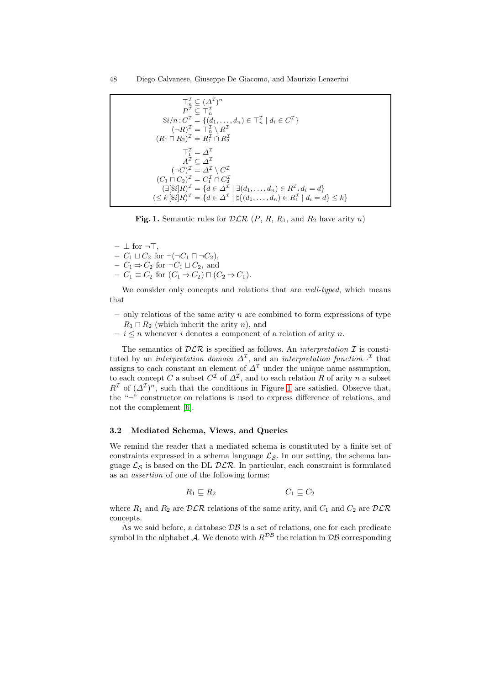$$
\begin{aligned}\n\top_n^{\mathcal{T}} &\subseteq (\Delta^{\mathcal{T}})^n \\
P^{\mathcal{T}} &\subseteq \top_n^{\mathcal{T}} \\
\$\hat{s}/n:C^{\mathcal{I}} &= \{(d_1,\ldots,d_n) \in \top_n^{\mathcal{T}} \mid d_i \in C^{\mathcal{I}}\} \\
(\neg R)^{\mathcal{I}} &= \top_n^{\mathcal{T}} \setminus R^{\mathcal{I}} \\
(R_1 \sqcap R_2)^{\mathcal{I}} &= R_1^{\mathcal{T}} \cap R_2^{\mathcal{I}} \\
\top_n^{\mathcal{T}} &= \Delta^{\mathcal{I}} \\
A^{\mathcal{I}} &\subseteq \Delta^{\mathcal{I}} \\
(\neg C)^{\mathcal{I}} &= \Delta^{\mathcal{I}} \setminus C^{\mathcal{I}} \\
(C_1 \sqcap C_2)^{\mathcal{I}} &= C_1^{\mathcal{T}} \cap C_2^{\mathcal{I}} \\
(\exists [\$\hat{s}]\]R)^{\mathcal{I}} &= \{d \in \Delta^{\mathcal{I}} \mid \exists (d_1,\ldots,d_n) \in R^{\mathcal{I}} \cdot d_i = d\} \\
(\leq k \begin{bmatrix} \$\hat{s}]\]R \end{bmatrix}^{\mathcal{T}} &= \{d \in \Delta^{\mathcal{I}} \mid \#\{(d_1,\ldots,d_n) \in R_1^{\mathcal{T}} \mid d_i = d\} \leq k\}\n\end{aligned}
$$

**Fig. 1.** Semantic rules for  $DLR$  (P, R, R<sub>1</sub>, and R<sub>2</sub> have arity n)

- <span id="page-7-0"></span> $- \perp$  for  $\neg$ T,  $- C_1 \sqcup C_2$  for  $\neg(\neg C_1 \sqcap \neg C_2)$ ,  $C_1$   $\Rightarrow$   $C_2$  for  $\neg$  $C_1 \sqcup C_2$ , and
- $-C_1 \equiv C_2$  for  $(C_1 \Rightarrow C_2) \sqcap (C_2 \Rightarrow C_1)$ .

We consider only concepts and relations that are *well-typed*, which means that

- **–** only relations of the same arity n are combined to form expressions of type  $R_1 \sqcap R_2$  (which inherit the arity n), and
- $-i \leq n$  whenever i denotes a component of a relation of arity n.

The semantics of  $DLR$  is specified as follows. An *interpretation*  $\mathcal I$  is constituted by an *interpretation domain*  $\Delta^{\mathcal{I}}$ , and an *interpretation function*  $\cdot^{\mathcal{I}}$  that assigns to each constant an element of  $\Delta^{\mathcal{I}}$  under the unique name assumption, to each concept C a subset  $C^{\mathcal{I}}$  of  $\Delta^{\mathcal{I}}$ , and to each relation R of arity n a subset  $R^{\mathcal{I}}$  of  $(\Delta^{\mathcal{I}})^n$ , such that the conditions in Figure [1](#page-7-0) are satisfied. Observe that, the "¬" constructor on relations is used to express difference of relations, and not the complement [\[6\]](#page-16-3).

#### **3.2 Mediated Schema, Views, and Queries**

We remind the reader that a mediated schema is constituted by a finite set of constraints expressed in a schema language  $\mathcal{L}_{\mathcal{S}}$ . In our setting, the schema language  $\mathcal{L}_{\mathcal{S}}$  is based on the DL  $\mathcal{DLR}$ . In particular, each constraint is formulated as an *assertion* of one of the following forms:

$$
R_1 \sqsubseteq R_2 \qquad \qquad C_1 \sqsubseteq C_2
$$

where  $R_1$  and  $R_2$  are  $D\mathcal{LR}$  relations of the same arity, and  $C_1$  and  $C_2$  are  $D\mathcal{LR}$ concepts.

As we said before, a database  $\mathcal{DB}$  is a set of relations, one for each predicate symbol in the alphabet A. We denote with  $R^{\mathcal{DB}}$  the relation in  $\mathcal{DB}$  corresponding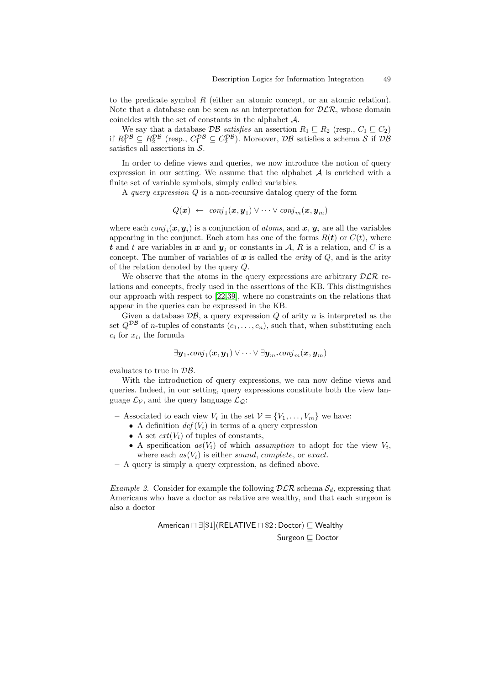to the predicate symbol R (either an atomic concept, or an atomic relation). Note that a database can be seen as an interpretation for  $D\mathcal{LR}$ , whose domain coincides with the set of constants in the alphabet A.

We say that a database  $\mathcal{DB}$  *satisfies* an assertion  $R_1 \sqsubseteq R_2$  (resp.,  $C_1 \sqsubseteq C_2$ ) if  $R_1^{\mathcal{DB}} \subseteq R_2^{\mathcal{DB}}$  (resp.,  $C_1^{\mathcal{DB}} \subseteq C_2^{\mathcal{DB}}$ ). Moreover,  $\mathcal{DB}$  satisfies a schema S if  $\mathcal{DB}$ satisfies all assertions in  $S$ .

In order to define views and queries, we now introduce the notion of query expression in our setting. We assume that the alphabet  $A$  is enriched with a finite set of variable symbols, simply called variables.

A *query expression* Q is a non-recursive datalog query of the form

$$
Q(\boldsymbol{x}) \ \leftarrow \ \textit{conj}_1(\boldsymbol{x}, \boldsymbol{y}_1) \lor \dots \lor \textit{conj}_m(\boldsymbol{x}, \boldsymbol{y}_m)
$$

where each  $\text{conj}_i(\bm{x}, \bm{y}_i)$  is a conjunction of *atoms*, and  $\bm{x}, \bm{y}_i$  are all the variables appearing in the conjunct. Each atom has one of the forms  $R(t)$  or  $C(t)$ , where **t** and t are variables in x and  $y_i$  or constants in A, R is a relation, and C is a concept. The number of variables of *x* is called the *arity* of Q, and is the arity of the relation denoted by the query Q.

We observe that the atoms in the query expressions are arbitrary  $\mathcal{D}\mathcal{L}\mathcal{R}$  relations and concepts, freely used in the assertions of the KB. This distinguishes our approach with respect to [\[22](#page-17-5)[,39\]](#page-18-8), where no constraints on the relations that appear in the queries can be expressed in the KB.

Given a database  $\mathcal{DB}$ , a query expression Q of arity n is interpreted as the set  $Q^{\mathcal{DB}}$  of *n*-tuples of constants  $(c_1,\ldots,c_n)$ , such that, when substituting each  $c_i$  for  $x_i$ , the formula

$$
\exists \boldsymbol{y}_1.\mathit{conj}_1(\boldsymbol{x},\boldsymbol{y}_1) \vee \cdots \vee \exists \boldsymbol{y}_m.\mathit{conj}_m(\boldsymbol{x},\boldsymbol{y}_m)
$$

evaluates to true in DB.

With the introduction of query expressions, we can now define views and queries. Indeed, in our setting, query expressions constitute both the view language  $\mathcal{L}_{\mathcal{V}}$ , and the query language  $\mathcal{L}_{\mathcal{Q}}$ :

- Associated to each view  $V_i$  in the set  $\mathcal{V} = \{V_1, \ldots, V_m\}$  we have:
	- A definition  $def(V_i)$  in terms of a query expression
	- A set  $ext(V_i)$  of tuples of constants,
	- A specification  $as(V_i)$  of which *assumption* to adopt for the view  $V_i$ , where each  $as(V_i)$  is either *sound*, *complete*, or *exact*.
- **–** A query is simply a query expression, as defined above.

*Example 2.* Consider for example the following  $DLR$  schema  $S_d$ , expressing that Americans who have a doctor as relative are wealthy, and that each surgeon is also a doctor

$$
\begin{aligned} \text{American} \ \sqcap \ \exists [\$1] (\text{RELATIVE} \sqcap \$2:\text{Dotor}) \sqsubseteq \text{Weakly} \\ \text{Surgeon} \sqsubseteq \text{Dotor} \end{aligned}
$$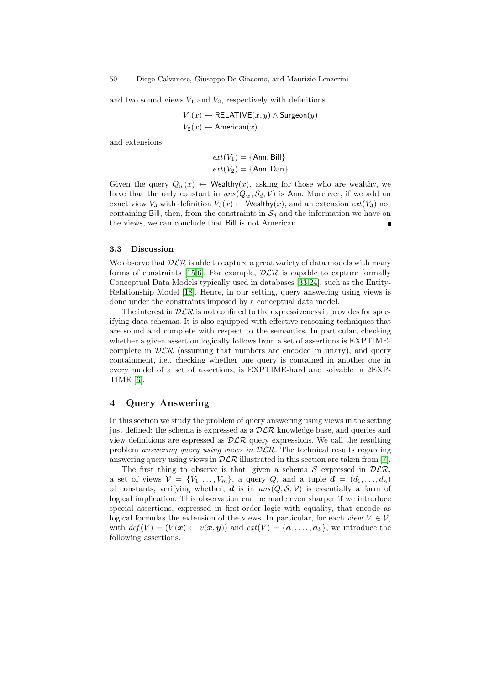and two sound views  $V_1$  and  $V_2$ , respectively with definitions

$$
V_1(x) \leftarrow \text{RELATIVE}(x, y) \land \text{Surgeon}(y)
$$

$$
V_2(x) \leftarrow \text{American}(x)
$$

and extensions

$$
ext(V_1) = \{Ann, Bill\}
$$

$$
ext(V_2) = \{Ann, Dan\}
$$

Given the query  $Q_w(x)$  ← Wealthy(x), asking for those who are wealthy, we have that the only constant in  $ans(Q_w, S_d, V)$  is Ann. Moreover, if we add an exact view  $V_3$  with definition  $V_3(x) \leftarrow$  Wealthy $(x)$ , and an extension  $ext(V_3)$  not containing Bill, then, from the constraints in  $S_d$  and the information we have on the views, we can conclude that Bill is not American. the views, we can conclude that Bill is not American.

#### **3.3 Discussion**

We observe that  $D\mathcal{LR}$  is able to capture a great variety of data models with many forms of constraints [\[15,](#page-17-6)[6\]](#page-16-3). For example,  $D\mathcal{LR}$  is capable to capture formally Conceptual Data Models typically used in databases [\[33,](#page-18-9)[24\]](#page-17-7), such as the Entity-Relationship Model [\[18\]](#page-17-8). Hence, in our setting, query answering using views is done under the constraints imposed by a conceptual data model.

The interest in  $D\mathcal{L}\mathcal{R}$  is not confined to the expressiveness it provides for specifying data schemas. It is also equipped with effective reasoning techniques that are sound and complete with respect to the semantics. In particular, checking whether a given assertion logically follows from a set of assertions is EXPTIMEcomplete in  $DLR$  (assuming that numbers are encoded in unary), and query containment, i.e., checking whether one query is contained in another one in every model of a set of assertions, is EXPTIME-hard and solvable in 2EXP-TIME [\[6\]](#page-16-3).

## <span id="page-9-0"></span>**4 Query Answering**

In this section we study the problem of query answering using views in the setting just defined: the schema is expressed as a  $D\mathcal{LR}$  knowledge base, and queries and view definitions are espressed as  $DLR$  query expressions. We call the resulting problem *answering query using views in* DLR. The technical results regarding answering query using views in  $D\mathcal{LR}$  illustrated in this section are taken from [\[7\]](#page-16-8).

The first thing to observe is that, given a schema  $S$  expressed in  $D\mathcal{LR}$ , a set of views  $V = \{V_1, \ldots, V_m\}$ , a query Q, and a tuple  $\boldsymbol{d} = (d_1, \ldots, d_n)$ of constants, verifying whether,  $d$  is in  $ans(Q, S, V)$  is essentially a form of logical implication. This observation can be made even sharper if we introduce special assertions, expressed in first-order logic with equality, that encode as logical formulas the extension of the views. In particular, for each *view*  $V \in V$ , with  $def(V) = (V(\mathbf{x}) \leftarrow v(\mathbf{x}, \mathbf{y}))$  and  $ext(V) = {\mathbf{a}_1, \ldots, \mathbf{a}_k}$ , we introduce the following assertions.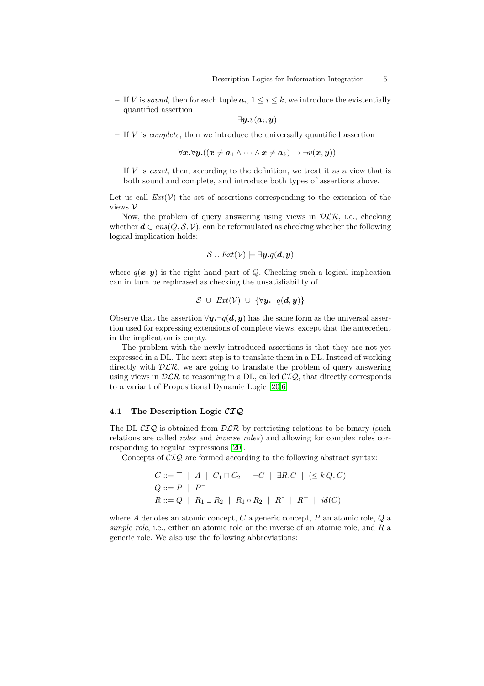$−$  If *V* is *sound*, then for each tuple  $a_i$ ,  $1 ≤ i ≤ k$ , we introduce the existentially quantified assertion

$$
\exists \bm{y}.v(\bm{a}_i,\bm{y})
$$

**–** If V is *complete*, then we introduce the universally quantified assertion

$$
\forall \boldsymbol{x}.\forall \boldsymbol{y}.((\boldsymbol{x} \neq \boldsymbol{a}_1 \wedge \dots \wedge \boldsymbol{x} \neq \boldsymbol{a}_k) \rightarrow \neg v(\boldsymbol{x}, \boldsymbol{y}))
$$

**–** If V is *exact*, then, according to the definition, we treat it as a view that is both sound and complete, and introduce both types of assertions above.

Let us call  $Ext(V)$  the set of assertions corresponding to the extension of the views V.

Now, the problem of query answering using views in  $D\mathcal{LR}$ , i.e., checking whether  $d \in ans(Q, S, V)$ , can be reformulated as checking whether the following logical implication holds:

$$
\mathcal{S} \cup \text{Ext}(\mathcal{V}) \models \exists y. q(d, y)
$$

where  $q(x, y)$  is the right hand part of Q. Checking such a logical implication can in turn be rephrased as checking the unsatisfiability of

$$
\mathcal{S} \ \cup \ Ext(\mathcal{V}) \ \cup \ \{\forall y. \neg q(d,y)\}
$$

Observe that the assertion  $\forall y \cdot \neg q(d, y)$  has the same form as the universal assertion used for expressing extensions of complete views, except that the antecedent in the implication is empty.

The problem with the newly introduced assertions is that they are not yet expressed in a DL. The next step is to translate them in a DL. Instead of working directly with  $D\mathcal{LR}$ , we are going to translate the problem of query answering using views in  $DLR$  to reasoning in a DL, called  $\mathcal{CIQ}$ , that directly corresponds to a variant of Propositional Dynamic Logic [\[20](#page-17-9)[,6\]](#page-16-3).

#### **4.1 The Description Logic** *CIQ*

The DL  $\mathcal{CIQ}$  is obtained from  $\mathcal{DLR}$  by restricting relations to be binary (such relations are called *roles* and *inverse roles*) and allowing for complex roles corresponding to regular expressions [\[20\]](#page-17-9).

Concepts of  $\mathcal{CIQ}$  are formed according to the following abstract syntax:

$$
C ::= \top | A | C_1 \sqcap C_2 | \neg C | \exists R.C | (\leq k Q.C)
$$
  
\n
$$
Q ::= P | P^{-}
$$
  
\n
$$
R ::= Q | R_1 \sqcup R_2 | R_1 \circ R_2 | R^* | R^- | id(C)
$$

where A denotes an atomic concept,  $C$  a generic concept,  $P$  an atomic role,  $Q$  a *simple role*, i.e., either an atomic role or the inverse of an atomic role, and R a generic role. We also use the following abbreviations: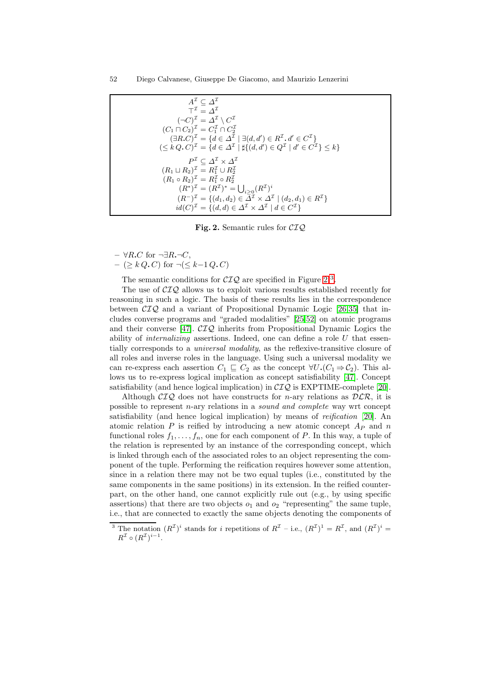$$
A^{\mathcal{I}} \subseteq \Delta^{\mathcal{I}}
$$
  
\n
$$
\top^{\mathcal{I}} = \Delta^{\mathcal{I}}
$$
  
\n
$$
(\neg C)^{\mathcal{I}} = \Delta^{\mathcal{I}} \setminus C^{\mathcal{I}}
$$
  
\n
$$
(C_1 \sqcap C_2)^{\mathcal{I}} = C_1^{\mathcal{I}} \cap C_2^{\mathcal{I}}
$$
  
\n
$$
(\exists R.C)^{\mathcal{I}} = \{d \in \Delta^{\mathcal{I}} \mid \exists (d, d') \in R^{\mathcal{I}}, d' \in C^{\mathcal{I}}\}
$$
  
\n
$$
(\leq k \ Q.C)^{\mathcal{I}} = \{d \in \Delta^{\mathcal{I}} \mid \sharp\{(d, d') \in Q^{\mathcal{I}} \mid d' \in C^{\mathcal{I}}\} \leq k\}
$$
  
\n
$$
P^{\mathcal{I}} \subseteq \Delta^{\mathcal{I}} \times \Delta^{\mathcal{I}}
$$
  
\n
$$
(R_1 \sqcup R_2)^{\mathcal{I}} = R_1^{\mathcal{I}} \cup R_2^{\mathcal{I}}
$$
  
\n
$$
(R_1 \circ R_2)^{\mathcal{I}} = R_1^{\mathcal{I}} \circ R_2^{\mathcal{I}}
$$
  
\n
$$
(R^*)^{\mathcal{I}} = (R^{\mathcal{I}})^* = \bigcup_{i \geq 0} (R^{\mathcal{I}})^i
$$
  
\n
$$
(R^-)^{\mathcal{I}} = \{(d_1, d_2) \in \Delta^{\mathcal{I}} \times \Delta^{\mathcal{I}} \mid (d_2, d_1) \in R^{\mathcal{I}}\}
$$
  
\n
$$
id(C)^{\mathcal{I}} = \{(d, d) \in \Delta^{\mathcal{I}} \times \Delta^{\mathcal{I}} \mid d \in C^{\mathcal{I}}\}
$$

<span id="page-11-0"></span>**Fig. 2.** Semantic rules for CIQ

$$
- \forall R.C \text{ for } \neg \exists R.\neg C,
$$
  
- ( $\geq k Q.C$ ) for  $\neg (\leq k-1 Q.C)$ 

The semantic conditions for  $\mathcal{CIQ}$  are specified in Figure [2](#page-11-0)<sup>[3](#page-11-1)</sup>.

The use of CIQ allows us to exploit various results established recently for reasoning in such a logic. The basis of these results lies in the correspondence between  $\mathcal{CIQ}$  and a variant of Propositional Dynamic Logic [\[26](#page-17-10)[,35\]](#page-18-10) that includes converse programs and "graded modalities" [\[25](#page-17-11)[,52\]](#page-19-7) on atomic programs and their converse [\[47\]](#page-18-11).  $\mathcal{CIQ}$  inherits from Propositional Dynamic Logics the ability of *internalizing* assertions. Indeed, one can define a role U that essentially corresponds to a *universal modality*, as the reflexive-transitive closure of all roles and inverse roles in the language. Using such a universal modality we can re-express each assertion  $C_1 \subseteq C_2$  as the concept  $\forall U \cdot (C_1 \Rightarrow C_2)$ . This allows us to re-express logical implication as concept satisfiability [\[47\]](#page-18-11). Concept satisfiability (and hence logical implication) in  $\mathcal{CIQ}$  is EXPTIME-complete [\[20\]](#page-17-9).

Although  $\mathcal{CIQ}$  does not have constructs for *n*-ary relations as  $\mathcal{DLR}$ , it is possible to represent n-ary relations in a *sound and complete* way wrt concept satisfiability (and hence logical implication) by means of *reification* [\[20\]](#page-17-9). An atomic relation  $P$  is reified by introducing a new atomic concept  $A_P$  and n functional roles  $f_1,\ldots,f_n$ , one for each component of P. In this way, a tuple of the relation is represented by an instance of the corresponding concept, which is linked through each of the associated roles to an object representing the component of the tuple. Performing the reification requires however some attention, since in a relation there may not be two equal tuples (i.e., constituted by the same components in the same positions) in its extension. In the reified counterpart, on the other hand, one cannot explicitly rule out (e.g., by using specific assertions) that there are two objects  $o_1$  and  $o_2$  "representing" the same tuple, i.e., that are connected to exactly the same objects denoting the components of

<span id="page-11-1"></span><sup>&</sup>lt;sup>3</sup> The notation  $(R^{\mathcal{I}})^i$  stands for i repetitions of  $R^{\mathcal{I}}$  – i.e.,  $(R^{\mathcal{I}})^1 = R^{\mathcal{I}}$ , and  $(R^{\mathcal{I}})^i =$  $R^{\mathcal{I}} \circ (R^{\mathcal{I}})^{i-1}.$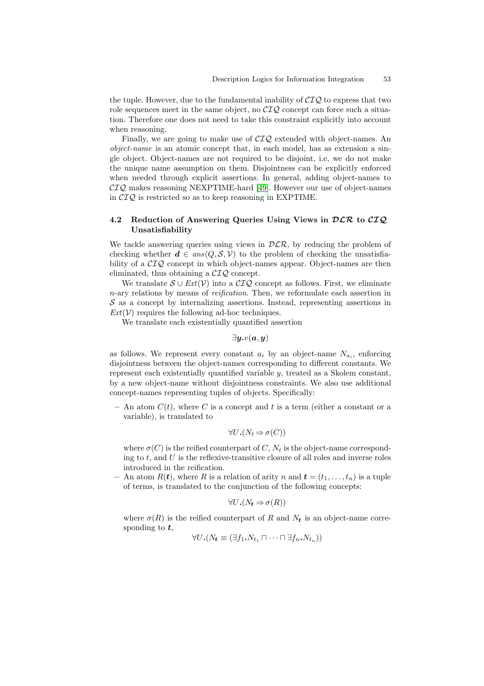the tuple. However, due to the fundamental inability of  $\mathcal{CIQ}$  to express that two role sequences meet in the same object, no  $\mathcal{CIQ}$  concept can force such a situation. Therefore one does not need to take this constraint explicitly into account when reasoning.

Finally, we are going to make use of  $\mathcal{CIQ}$  extended with object-names. An *object-name* is an atomic concept that, in each model, has as extension a single object. Object-names are not required to be disjoint, i.e, we do not make the unique name assumption on them. Disjointness can be explicitly enforced when needed through explicit assertions. In general, adding object-names to  $\mathcal{CIQ}$  makes reasoning NEXPTIME-hard [\[49\]](#page-19-8). However our use of object-names in CIQ is restricted so as to keep reasoning in EXPTIME.

#### **4.2 Reduction of Answering Queries Using Views in** *DLR* **to** *CIQ* **Unsatisfiability**

We tackle answering queries using views in  $D\mathcal{LR}$ , by reducing the problem of checking whether  $d \in ans(Q, S, V)$  to the problem of checking the unsatisfiability of a  $\mathcal{CIQ}$  concept in which object-names appear. Object-names are then eliminated, thus obtaining a  $\mathcal{CIQ}$  concept.

We translate  $S \cup Ext(V)$  into a  $\mathcal{CIQ}$  concept as follows. First, we eliminate n-ary relations by means of *reification*. Then, we reformulate each assertion in  $S$  as a concept by internalizing assertions. Instead, representing assertions in  $Ext(V)$  requires the following ad-hoc techniques.

We translate each existentially quantified assertion

$$
\exists \bm{y}.v(\bm{a},\bm{y})
$$

as follows. We represent every constant  $a_i$  by an object-name  $N_{a_i}$ , enforcing disjointness between the object-names corresponding to different constants. We represent each existentially quantified variable y, treated as a Skolem constant, by a new object-name without disjointness constraints. We also use additional concept-names representing tuples of objects. Specifically:

 $-$  An atom  $C(t)$ , where C is a concept and t is a term (either a constant or a variable), is translated to

$$
\forall U.(N_t \Rightarrow \sigma(C))
$$

where  $\sigma(C)$  is the reified counterpart of C,  $N_t$  is the object-name corresponding to  $t$ , and  $U$  is the reflexive-transitive closure of all roles and inverse roles introduced in the reification.

 $-$  An atom  $R(t)$ , where R is a relation of arity n and  $t = (t_1, \ldots, t_n)$  is a tuple of terms, is translated to the conjunction of the following concepts:

$$
\forall U.(N_t \Rightarrow \sigma(R))
$$

where  $\sigma(R)$  is the reified counterpart of R and  $N_t$  is an object-name corresponding to *t*,

$$
\forall U.(N_t \equiv (\exists f_1.N_{t_1} \sqcap \cdots \sqcap \exists f_n.N_{t_n}))
$$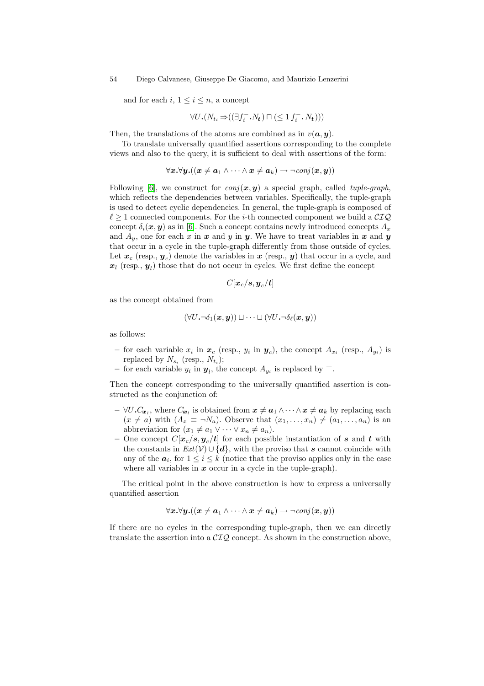and for each  $i, 1 \leq i \leq n$ , a concept

$$
\forall U.(N_{t_i} \Rightarrow ((\exists f_i^- . N_t) \sqcap (\leq 1 f_i^- . N_t)))
$$

Then, the translations of the atoms are combined as in  $v(\mathbf{a}, \mathbf{y})$ .

To translate universally quantified assertions corresponding to the complete views and also to the query, it is sufficient to deal with assertions of the form:

$$
\forall \boldsymbol{x}.\forall \boldsymbol{y}.((\boldsymbol{x} \neq \boldsymbol{a}_1 \wedge \cdots \wedge \boldsymbol{x} \neq \boldsymbol{a}_k) \rightarrow \neg \textit{conj}(\boldsymbol{x}, \boldsymbol{y}))
$$

Following [\[6\]](#page-16-3), we construct for  $\text{conj}(x, y)$  a special graph, called *tuple-graph*, which reflects the dependencies between variables. Specifically, the tuple-graph is used to detect cyclic dependencies. In general, the tuple-graph is composed of  $\ell \geq 1$  connected components. For the *i*-th connected component we build a  $\mathcal{CIQ}$ concept  $\delta_i(\mathbf{x}, \mathbf{y})$  as in [\[6\]](#page-16-3). Such a concept contains newly introduced concepts  $A_x$ and  $A_y$ , one for each x in x and y in y. We have to treat variables in x and y that occur in a cycle in the tuple-graph differently from those outside of cycles. Let  $x_c$  (resp.,  $y_c$ ) denote the variables in  $x$  (resp.,  $y$ ) that occur in a cycle, and  $x_l$  (resp.,  $y_l$ ) those that do not occur in cycles. We first define the concept

$$
C[\boldsymbol{x}_c/\boldsymbol{s},\boldsymbol{y}_c/t]
$$

as the concept obtained from

$$
(\forall U \boldsymbol{.} \neg \delta_1(\boldsymbol{x}, \boldsymbol{y})) \sqcup \cdots \sqcup (\forall U \boldsymbol{.} \neg \delta_{\ell}(\boldsymbol{x}, \boldsymbol{y}))
$$

as follows:

- for each variable  $x_i$  in  $x_c$  (resp.,  $y_i$  in  $y_c$ ), the concept  $A_{x_i}$  (resp.,  $A_{y_i}$ ) is replaced by  $N_{s_i}$  (resp.,  $N_{t_i}$ );
- for each variable  $y_i$  in  $y_i$ , the concept  $A_{y_i}$  is replaced by  $\top$ .

Then the concept corresponding to the universally quantified assertion is constructed as the conjunction of:

- $\forall U.C_{\bm{x}_l}$ , where  $C_{\bm{x}_l}$  is obtained from  $\bm{x} \neq \bm{a}_1 \wedge \cdots \wedge \bm{x} \neq \bm{a}_k$  by replacing each  $(x \neq a)$  with  $(A_x \equiv \neg N_a)$ . Observe that  $(x_1,\ldots,x_n) \neq (a_1,\ldots,a_n)$  is an abbreviation for  $(x_1 \neq a_1 \vee \cdots \vee x_n \neq a_n)$ .
- One concept  $C[x_c/s, y_c/t]$  for each possible instantiation of *s* and *t* with the constants in  $Ext(V) \cup \{d\}$ , with the proviso that *s* cannot coincide with any of the  $a_i$ , for  $1 \leq i \leq k$  (notice that the proviso applies only in the case where all variables in x occur in a cycle in the tuple-graph).

The critical point in the above construction is how to express a universally quantified assertion

$$
\forall x. \forall y. ((x \neq a_1 \land \cdots \land x \neq a_k) \rightarrow \neg \text{conj}(x, y))
$$

If there are no cycles in the corresponding tuple-graph, then we can directly translate the assertion into a  $\mathcal{CIQ}$  concept. As shown in the construction above,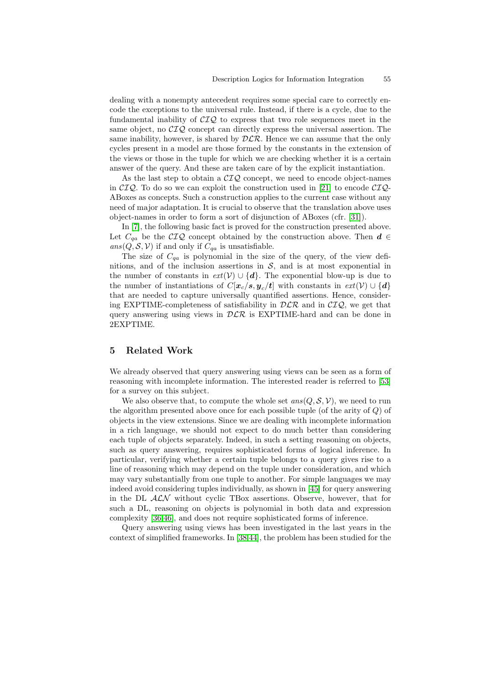dealing with a nonempty antecedent requires some special care to correctly encode the exceptions to the universal rule. Instead, if there is a cycle, due to the fundamental inability of  $\mathcal{CIQ}$  to express that two role sequences meet in the same object, no  $\mathcal{CIQ}$  concept can directly express the universal assertion. The same inability, however, is shared by  $D\mathcal{LR}$ . Hence we can assume that the only cycles present in a model are those formed by the constants in the extension of the views or those in the tuple for which we are checking whether it is a certain answer of the query. And these are taken care of by the explicit instantiation.

As the last step to obtain a  $\mathcal{CIQ}$  concept, we need to encode object-names in  $\mathcal{CIQ}$ . To do so we can exploit the construction used in [\[21\]](#page-17-12) to encode  $\mathcal{CIQ}$ -ABoxes as concepts. Such a construction applies to the current case without any need of major adaptation. It is crucial to observe that the translation above uses object-names in order to form a sort of disjunction of ABoxes (cfr. [\[31\]](#page-17-13)).

In [\[7\]](#page-16-8), the following basic fact is proved for the construction presented above. Let  $C_{qa}$  be the CIQ concept obtained by the construction above. Then  $d \in$  $ans(Q, \mathcal{S}, \mathcal{V})$  if and only if  $C_{qa}$  is unsatisfiable.

The size of  $C_{qa}$  is polynomial in the size of the query, of the view definitions, and of the inclusion assertions in  $S$ , and is at most exponential in the number of constants in  $ext(V) \cup \{d\}$ . The exponential blow-up is due to the number of instantiations of  $C[x_c/s, y_c/t]$  with constants in  $ext(V) \cup \{d\}$ that are needed to capture universally quantified assertions. Hence, considering EXPTIME-completeness of satisfiability in  $D\mathcal{LR}$  and in  $\mathcal{CIQ}$ , we get that query answering using views in  $D\mathcal{L}\mathcal{R}$  is EXPTIME-hard and can be done in 2EXPTIME.

### <span id="page-14-0"></span>**5 Related Work**

We already observed that query answering using views can be seen as a form of reasoning with incomplete information. The interested reader is referred to [\[53\]](#page-19-6) for a survey on this subject.

We also observe that, to compute the whole set  $ans(Q, S, V)$ , we need to run the algorithm presented above once for each possible tuple (of the arity of  $Q$ ) of objects in the view extensions. Since we are dealing with incomplete information in a rich language, we should not expect to do much better than considering each tuple of objects separately. Indeed, in such a setting reasoning on objects, such as query answering, requires sophisticated forms of logical inference. In particular, verifying whether a certain tuple belongs to a query gives rise to a line of reasoning which may depend on the tuple under consideration, and which may vary substantially from one tuple to another. For simple languages we may indeed avoid considering tuples individually, as shown in [\[45\]](#page-18-12) for query answering in the DL ALN without cyclic TBox assertions. Observe, however, that for such a DL, reasoning on objects is polynomial in both data and expression complexity [\[36](#page-18-13)[,46\]](#page-18-14), and does not require sophisticated forms of inference.

Query answering using views has been investigated in the last years in the context of simplified frameworks. In [\[38](#page-18-15)[,44\]](#page-18-3), the problem has been studied for the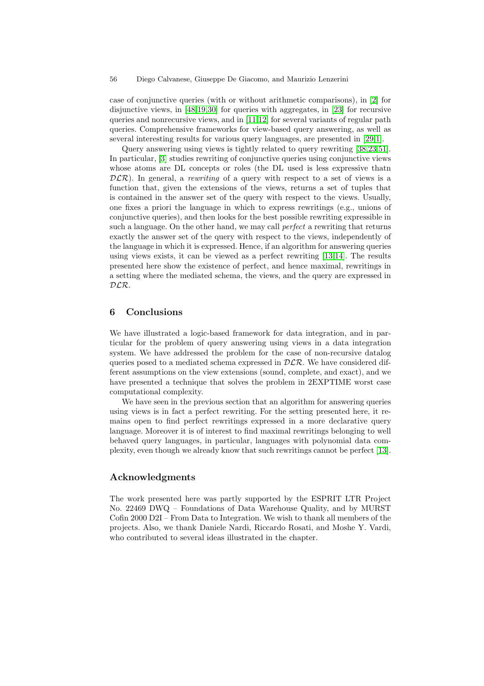case of conjunctive queries (with or without arithmetic comparisons), in [\[2\]](#page-16-9) for disjunctive views, in [\[48,](#page-18-16)[19,](#page-17-14)[30\]](#page-17-15) for queries with aggregates, in [\[23\]](#page-17-16) for recursive queries and nonrecursive views, and in  $[11,12]$  $[11,12]$  for several variants of regular path queries. Comprehensive frameworks for view-based query answering, as well as several interesting results for various query languages, are presented in [\[29](#page-17-3)[,1\]](#page-16-2).

Query answering using views is tightly related to query rewriting [\[38](#page-18-15)[,23](#page-17-16)[,51\]](#page-19-1). In particular, [\[3\]](#page-16-11) studies rewriting of conjunctive queries using conjunctive views whose atoms are DL concepts or roles (the DL used is less expressive thatn DLR). In general, a *rewriting* of a query with respect to a set of views is a function that, given the extensions of the views, returns a set of tuples that is contained in the answer set of the query with respect to the views. Usually, one fixes a priori the language in which to express rewritings (e.g., unions of conjunctive queries), and then looks for the best possible rewriting expressible in such a language. On the other hand, we may call *perfect* a rewriting that returns exactly the answer set of the query with respect to the views, independently of the language in which it is expressed. Hence, if an algorithm for answering queries using views exists, it can be viewed as a perfect rewriting [\[13,](#page-16-12)[14\]](#page-16-13). The results presented here show the existence of perfect, and hence maximal, rewritings in a setting where the mediated schema, the views, and the query are expressed in DLR.

## <span id="page-15-0"></span>**6 Conclusions**

We have illustrated a logic-based framework for data integration, and in particular for the problem of query answering using views in a data integration system. We have addressed the problem for the case of non-recursive datalog queries posed to a mediated schema expressed in  $DLR$ . We have considered different assumptions on the view extensions (sound, complete, and exact), and we have presented a technique that solves the problem in 2EXPTIME worst case computational complexity.

We have seen in the previous section that an algorithm for answering queries using views is in fact a perfect rewriting. For the setting presented here, it remains open to find perfect rewritings expressed in a more declarative query language. Moreover it is of interest to find maximal rewritings belonging to well behaved query languages, in particular, languages with polynomial data complexity, even though we already know that such rewritings cannot be perfect [\[13\]](#page-16-12).

# **Acknowledgments**

The work presented here was partly supported by the ESPRIT LTR Project No. 22469 DWQ – Foundations of Data Warehouse Quality, and by MURST Cofin 2000 D2I – From Data to Integration. We wish to thank all members of the projects. Also, we thank Daniele Nardi, Riccardo Rosati, and Moshe Y. Vardi, who contributed to several ideas illustrated in the chapter.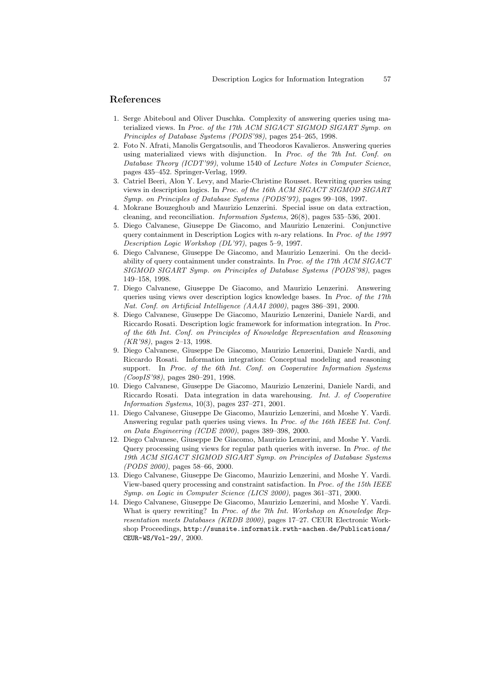# <span id="page-16-2"></span>**References**

- 1. Serge Abiteboul and Oliver Duschka. Complexity of answering queries using materialized views. In *Proc. of the 17th ACM SIGACT SIGMOD SIGART Symp. on Principles of Database Systems (PODS'98)*, pages 254–265, 1998.
- <span id="page-16-9"></span>2. Foto N. Afrati, Manolis Gergatsoulis, and Theodoros Kavalieros. Answering queries using materialized views with disjunction. In *Proc. of the 7th Int. Conf. on Database Theory (ICDT'99)*, volume 1540 of *Lecture Notes in Computer Science*, pages 435–452. Springer-Verlag, 1999.
- <span id="page-16-11"></span>3. Catriel Beeri, Alon Y. Levy, and Marie-Christine Rousset. Rewriting queries using views in description logics. In *Proc. of the 16th ACM SIGACT SIGMOD SIGART Symp. on Principles of Database Systems (PODS'97)*, pages 99–108, 1997.
- <span id="page-16-1"></span>4. Mokrane Bouzeghoub and Maurizio Lenzerini. Special issue on data extraction, cleaning, and reconciliation. *Information Systems*, 26(8), pages 535–536, 2001.
- <span id="page-16-7"></span>5. Diego Calvanese, Giuseppe De Giacomo, and Maurizio Lenzerini. Conjunctive query containment in Description Logics with n-ary relations. In *Proc. of the 1997 Description Logic Workshop (DL'97)*, pages 5–9, 1997.
- <span id="page-16-3"></span>6. Diego Calvanese, Giuseppe De Giacomo, and Maurizio Lenzerini. On the decidability of query containment under constraints. In *Proc. of the 17th ACM SIGACT SIGMOD SIGART Symp. on Principles of Database Systems (PODS'98)*, pages 149–158, 1998.
- <span id="page-16-8"></span>7. Diego Calvanese, Giuseppe De Giacomo, and Maurizio Lenzerini. Answering queries using views over description logics knowledge bases. In *Proc. of the 17th Nat. Conf. on Artificial Intelligence (AAAI 2000)*, pages 386–391, 2000.
- <span id="page-16-6"></span>8. Diego Calvanese, Giuseppe De Giacomo, Maurizio Lenzerini, Daniele Nardi, and Riccardo Rosati. Description logic framework for information integration. In *Proc. of the 6th Int. Conf. on Principles of Knowledge Representation and Reasoning (KR'98)*, pages 2–13, 1998.
- <span id="page-16-5"></span>9. Diego Calvanese, Giuseppe De Giacomo, Maurizio Lenzerini, Daniele Nardi, and Riccardo Rosati. Information integration: Conceptual modeling and reasoning support. In *Proc. of the 6th Int. Conf. on Cooperative Information Systems (CoopIS'98)*, pages 280–291, 1998.
- <span id="page-16-0"></span>10. Diego Calvanese, Giuseppe De Giacomo, Maurizio Lenzerini, Daniele Nardi, and Riccardo Rosati. Data integration in data warehousing. *Int. J. of Cooperative Information Systems*, 10(3), pages 237–271, 2001.
- <span id="page-16-4"></span>11. Diego Calvanese, Giuseppe De Giacomo, Maurizio Lenzerini, and Moshe Y. Vardi. Answering regular path queries using views. In *Proc. of the 16th IEEE Int. Conf. on Data Engineering (ICDE 2000)*, pages 389–398, 2000.
- <span id="page-16-10"></span>12. Diego Calvanese, Giuseppe De Giacomo, Maurizio Lenzerini, and Moshe Y. Vardi. Query processing using views for regular path queries with inverse. In *Proc. of the 19th ACM SIGACT SIGMOD SIGART Symp. on Principles of Database Systems (PODS 2000)*, pages 58–66, 2000.
- <span id="page-16-12"></span>13. Diego Calvanese, Giuseppe De Giacomo, Maurizio Lenzerini, and Moshe Y. Vardi. View-based query processing and constraint satisfaction. In *Proc. of the 15th IEEE Symp. on Logic in Computer Science (LICS 2000)*, pages 361–371, 2000.
- <span id="page-16-13"></span>14. Diego Calvanese, Giuseppe De Giacomo, Maurizio Lenzerini, and Moshe Y. Vardi. What is query rewriting? In *Proc. of the 7th Int. Workshop on Knowledge Representation meets Databases (KRDB 2000)*, pages 17–27. CEUR Electronic Workshop Proceedings, http://sunsite.informatik.rwth-aachen.de/Publications/ CEUR-WS/Vol-29/, 2000.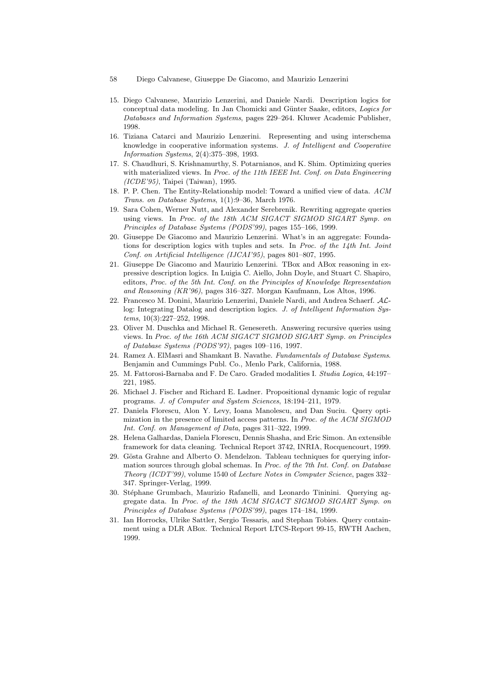- <span id="page-17-6"></span>15. Diego Calvanese, Maurizio Lenzerini, and Daniele Nardi. Description logics for conceptual data modeling. In Jan Chomicki and Günter Saake, editors, *Logics for Databases and Information Systems*, pages 229–264. Kluwer Academic Publisher, 1998.
- <span id="page-17-0"></span>16. Tiziana Catarci and Maurizio Lenzerini. Representing and using interschema knowledge in cooperative information systems. *J. of Intelligent and Cooperative Information Systems*, 2(4):375–398, 1993.
- <span id="page-17-4"></span>17. S. Chaudhuri, S. Krishnamurthy, S. Potarnianos, and K. Shim. Optimizing queries with materialized views. In *Proc. of the 11th IEEE Int. Conf. on Data Engineering (ICDE'95)*, Taipei (Taiwan), 1995.
- <span id="page-17-8"></span>18. P. P. Chen. The Entity-Relationship model: Toward a unified view of data. *ACM Trans. on Database Systems*, 1(1):9–36, March 1976.
- <span id="page-17-14"></span>19. Sara Cohen, Werner Nutt, and Alexander Serebrenik. Rewriting aggregate queries using views. In *Proc. of the 18th ACM SIGACT SIGMOD SIGART Symp. on Principles of Database Systems (PODS'99)*, pages 155–166, 1999.
- <span id="page-17-9"></span>20. Giuseppe De Giacomo and Maurizio Lenzerini. What's in an aggregate: Foundations for description logics with tuples and sets. In *Proc. of the 14th Int. Joint Conf. on Artificial Intelligence (IJCAI'95)*, pages 801–807, 1995.
- <span id="page-17-12"></span>21. Giuseppe De Giacomo and Maurizio Lenzerini. TBox and ABox reasoning in expressive description logics. In Luigia C. Aiello, John Doyle, and Stuart C. Shapiro, editors, *Proc. of the 5th Int. Conf. on the Principles of Knowledge Representation and Reasoning (KR'96)*, pages 316–327. Morgan Kaufmann, Los Altos, 1996.
- <span id="page-17-5"></span>22. Francesco M. Donini, Maurizio Lenzerini, Daniele Nardi, and Andrea Schaerf. ALlog: Integrating Datalog and description logics. *J. of Intelligent Information Systems*, 10(3):227–252, 1998.
- <span id="page-17-16"></span>23. Oliver M. Duschka and Michael R. Genesereth. Answering recursive queries using views. In *Proc. of the 16th ACM SIGACT SIGMOD SIGART Symp. on Principles of Database Systems (PODS'97)*, pages 109–116, 1997.
- <span id="page-17-7"></span>24. Ramez A. ElMasri and Shamkant B. Navathe. *Fundamentals of Database Systems*. Benjamin and Cummings Publ. Co., Menlo Park, California, 1988.
- <span id="page-17-11"></span>25. M. Fattorosi-Barnaba and F. De Caro. Graded modalities I. *Studia Logica*, 44:197– 221, 1985.
- <span id="page-17-10"></span>26. Michael J. Fischer and Richard E. Ladner. Propositional dynamic logic of regular programs. *J. of Computer and System Sciences*, 18:194–211, 1979.
- <span id="page-17-1"></span>27. Daniela Florescu, Alon Y. Levy, Ioana Manolescu, and Dan Suciu. Query optimization in the presence of limited access patterns. In *Proc. of the ACM SIGMOD Int. Conf. on Management of Data*, pages 311–322, 1999.
- <span id="page-17-2"></span>28. Helena Galhardas, Daniela Florescu, Dennis Shasha, and Eric Simon. An extensible framework for data cleaning. Technical Report 3742, INRIA, Rocquencourt, 1999.
- <span id="page-17-3"></span>29. Gösta Grahne and Alberto O. Mendelzon. Tableau techniques for querying information sources through global schemas. In *Proc. of the 7th Int. Conf. on Database Theory (ICDT'99)*, volume 1540 of *Lecture Notes in Computer Science*, pages 332– 347. Springer-Verlag, 1999.
- <span id="page-17-15"></span>30. Stéphane Grumbach, Maurizio Rafanelli, and Leonardo Tininini. Querying aggregate data. In *Proc. of the 18th ACM SIGACT SIGMOD SIGART Symp. on Principles of Database Systems (PODS'99)*, pages 174–184, 1999.
- <span id="page-17-13"></span>31. Ian Horrocks, Ulrike Sattler, Sergio Tessaris, and Stephan Tobies. Query containment using a DLR ABox. Technical Report LTCS-Report 99-15, RWTH Aachen, 1999.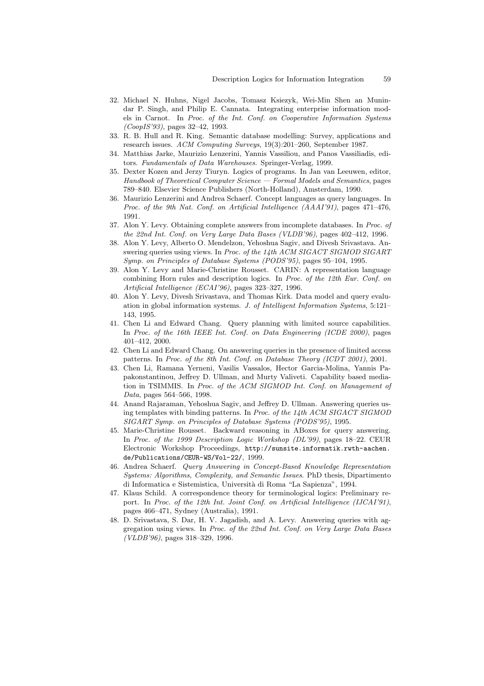- <span id="page-18-1"></span>32. Michael N. Huhns, Nigel Jacobs, Tomasz Ksiezyk, Wei-Min Shen an Munindar P. Singh, and Philip E. Cannata. Integrating enterprise information models in Carnot. In *Proc. of the Int. Conf. on Cooperative Information Systems (CoopIS'93)*, pages 32–42, 1993.
- <span id="page-18-9"></span>33. R. B. Hull and R. King. Semantic database modelling: Survey, applications and research issues. *ACM Computing Surveys*, 19(3):201–260, September 1987.
- <span id="page-18-0"></span>34. Matthias Jarke, Maurizio Lenzerini, Yannis Vassiliou, and Panos Vassiliadis, editors. *Fundamentals of Data Warehouses*. Springer-Verlag, 1999.
- <span id="page-18-10"></span>35. Dexter Kozen and Jerzy Tiuryn. Logics of programs. In Jan van Leeuwen, editor, *Handbook of Theoretical Computer Science — Formal Models and Semantics*, pages 789–840. Elsevier Science Publishers (North-Holland), Amsterdam, 1990.
- <span id="page-18-13"></span>36. Maurizio Lenzerini and Andrea Schaerf. Concept languages as query languages. In *Proc. of the 9th Nat. Conf. on Artificial Intelligence (AAAI'91)*, pages 471–476, 1991.
- <span id="page-18-7"></span>37. Alon Y. Levy. Obtaining complete answers from incomplete databases. In *Proc. of the 22nd Int. Conf. on Very Large Data Bases (VLDB'96)*, pages 402–412, 1996.
- <span id="page-18-15"></span>38. Alon Y. Levy, Alberto O. Mendelzon, Yehoshua Sagiv, and Divesh Srivastava. Answering queries using views. In *Proc. of the 14th ACM SIGACT SIGMOD SIGART Symp. on Principles of Database Systems (PODS'95)*, pages 95–104, 1995.
- <span id="page-18-8"></span>39. Alon Y. Levy and Marie-Christine Rousset. CARIN: A representation language combining Horn rules and description logics. In *Proc. of the 12th Eur. Conf. on Artificial Intelligence (ECAI'96)*, pages 323–327, 1996.
- <span id="page-18-2"></span>40. Alon Y. Levy, Divesh Srivastava, and Thomas Kirk. Data model and query evaluation in global information systems. *J. of Intelligent Information Systems*, 5:121– 143, 1995.
- <span id="page-18-5"></span>41. Chen Li and Edward Chang. Query planning with limited source capabilities. In *Proc. of the 16th IEEE Int. Conf. on Data Engineering (ICDE 2000)*, pages 401–412, 2000.
- <span id="page-18-6"></span>42. Chen Li and Edward Chang. On answering queries in the presence of limited access patterns. In *Proc. of the 8th Int. Conf. on Database Theory (ICDT 2001)*, 2001.
- <span id="page-18-4"></span>43. Chen Li, Ramana Yerneni, Vasilis Vassalos, Hector Garcia-Molina, Yannis Papakonstantinou, Jeffrey D. Ullman, and Murty Valiveti. Capability based mediation in TSIMMIS. In *Proc. of the ACM SIGMOD Int. Conf. on Management of Data*, pages 564–566, 1998.
- <span id="page-18-3"></span>44. Anand Rajaraman, Yehoshua Sagiv, and Jeffrey D. Ullman. Answering queries using templates with binding patterns. In *Proc. of the 14th ACM SIGACT SIGMOD SIGART Symp. on Principles of Database Systems (PODS'95)*, 1995.
- <span id="page-18-12"></span>45. Marie-Christine Rousset. Backward reasoning in ABoxes for query answering. In *Proc. of the 1999 Description Logic Workshop (DL'99)*, pages 18–22. CEUR Electronic Workshop Proceedings, http://sunsite.informatik.rwth-aachen. de/Publications/CEUR-WS/Vol-22/, 1999.
- <span id="page-18-14"></span>46. Andrea Schaerf. *Query Answering in Concept-Based Knowledge Representation Systems: Algorithms, Complexity, and Semantic Issues*. PhD thesis, Dipartimento di Informatica e Sistemistica, Universit`a di Roma "La Sapienza", 1994.
- <span id="page-18-11"></span>47. Klaus Schild. A correspondence theory for terminological logics: Preliminary report. In *Proc. of the 12th Int. Joint Conf. on Artificial Intelligence (IJCAI'91)*, pages 466–471, Sydney (Australia), 1991.
- <span id="page-18-16"></span>48. D. Srivastava, S. Dar, H. V. Jagadish, and A. Levy. Answering queries with aggregation using views. In *Proc. of the 22nd Int. Conf. on Very Large Data Bases (VLDB'96)*, pages 318–329, 1996.